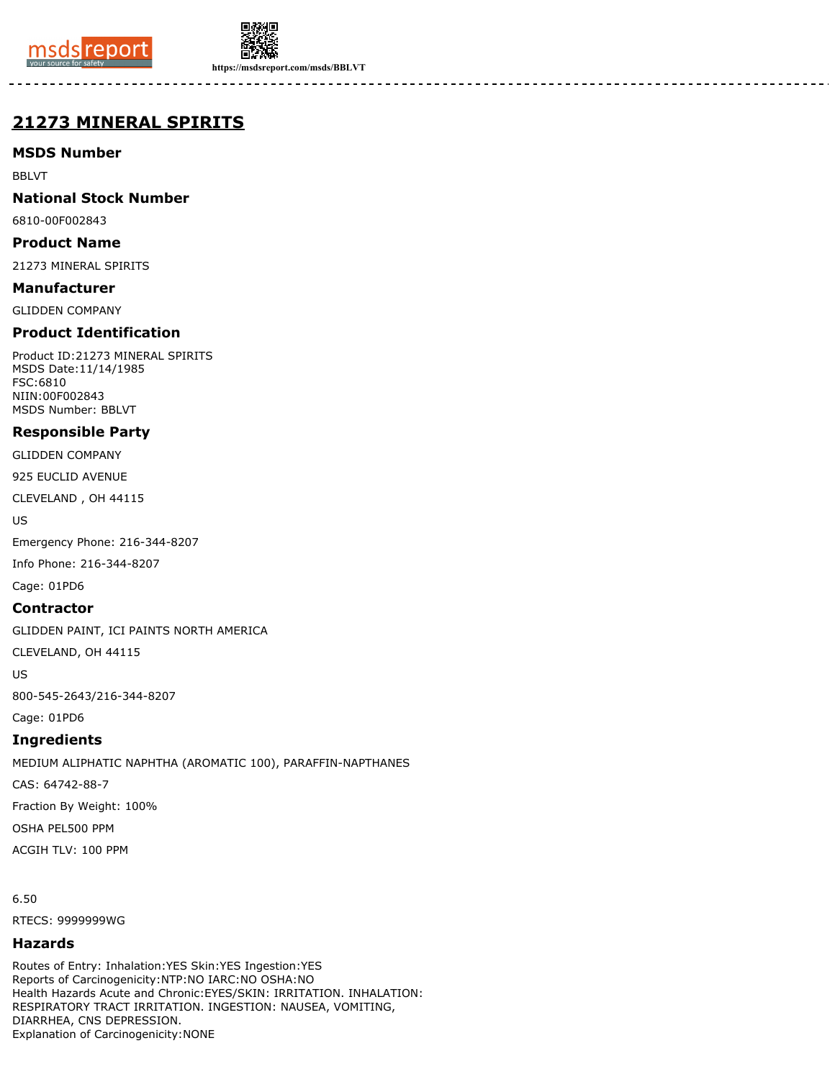



**https://msdsreport.com/msds/BBLVT**

# **21273 MINERAL SPIRITS**

## **MSDS Number**

BBLVT

#### **National Stock Number**

6810-00F002843

#### **Product Name**

21273 MINERAL SPIRITS

#### **Manufacturer**

GLIDDEN COMPANY

## **Product Identification**

Product ID:21273 MINERAL SPIRITS MSDS Date:11/14/1985 FSC:6810 NIIN:00F002843 MSDS Number: BBLVT

### **Responsible Party**

GLIDDEN COMPANY

925 EUCLID AVENUE

CLEVELAND , OH 44115

US

Emergency Phone: 216-344-8207

Info Phone: 216-344-8207

Cage: 01PD6

#### **Contractor**

GLIDDEN PAINT, ICI PAINTS NORTH AMERICA

CLEVELAND, OH 44115

US

800-545-2643/216-344-8207

Cage: 01PD6

### **Ingredients**

MEDIUM ALIPHATIC NAPHTHA (AROMATIC 100), PARAFFIN-NAPTHANES CAS: 64742-88-7 Fraction By Weight: 100% OSHA PEL500 PPM ACGIH TLV: 100 PPM

6.50

RTECS: 9999999WG

### **Hazards**

Routes of Entry: Inhalation:YES Skin:YES Ingestion:YES Reports of Carcinogenicity:NTP:NO IARC:NO OSHA:NO Health Hazards Acute and Chronic:EYES/SKIN: IRRITATION. INHALATION: RESPIRATORY TRACT IRRITATION. INGESTION: NAUSEA, VOMITING, DIARRHEA, CNS DEPRESSION. Explanation of Carcinogenicity:NONE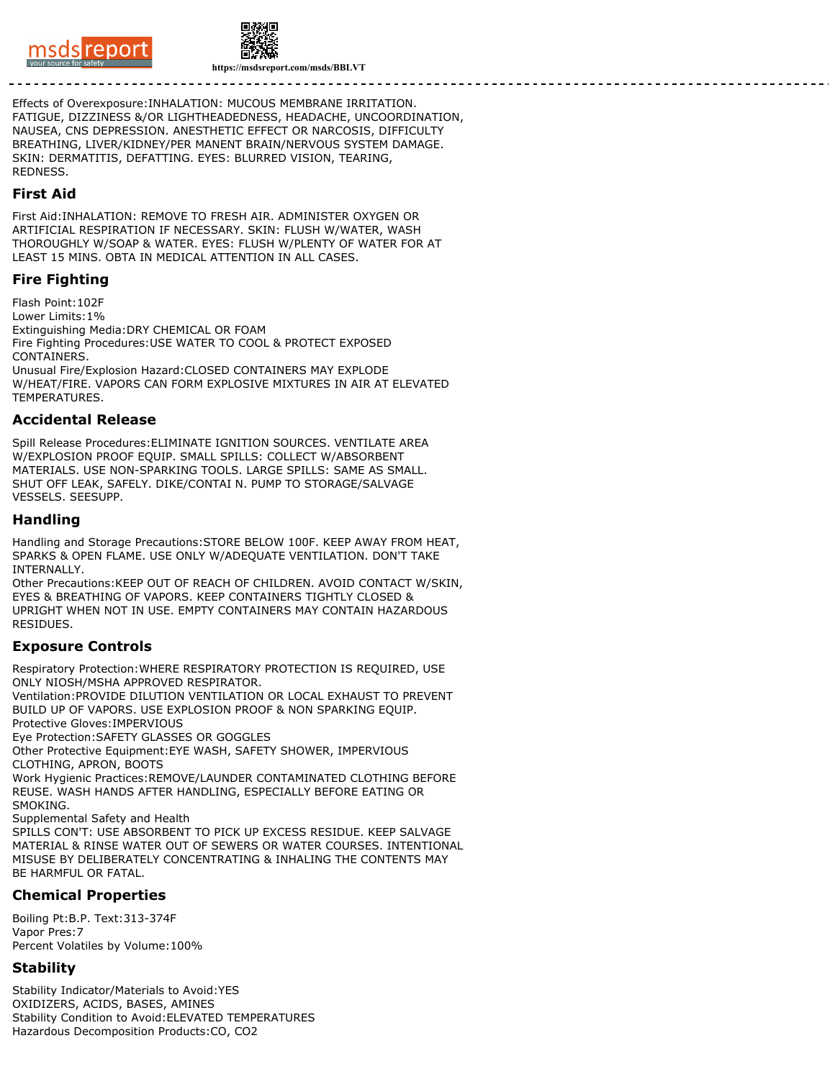



**https://msdsreport.com/msds/BBLVT**

Effects of Overexposure:INHALATION: MUCOUS MEMBRANE IRRITATION. FATIGUE, DIZZINESS &/OR LIGHTHEADEDNESS, HEADACHE, UNCOORDINATION, NAUSEA, CNS DEPRESSION. ANESTHETIC EFFECT OR NARCOSIS, DIFFICULTY BREATHING, LIVER/KIDNEY/PER MANENT BRAIN/NERVOUS SYSTEM DAMAGE. SKIN: DERMATITIS, DEFATTING. EYES: BLURRED VISION, TEARING, REDNESS.

#### **First Aid**

First Aid:INHALATION: REMOVE TO FRESH AIR. ADMINISTER OXYGEN OR ARTIFICIAL RESPIRATION IF NECESSARY. SKIN: FLUSH W/WATER, WASH THOROUGHLY W/SOAP & WATER. EYES: FLUSH W/PLENTY OF WATER FOR AT LEAST 15 MINS. OBTA IN MEDICAL ATTENTION IN ALL CASES.

## **Fire Fighting**

Flash Point:102F Lower Limits:1% Extinguishing Media:DRY CHEMICAL OR FOAM Fire Fighting Procedures:USE WATER TO COOL & PROTECT EXPOSED CONTAINERS. Unusual Fire/Explosion Hazard:CLOSED CONTAINERS MAY EXPLODE W/HEAT/FIRE. VAPORS CAN FORM EXPLOSIVE MIXTURES IN AIR AT ELEVATED **TEMPERATURES** 

#### **Accidental Release**

Spill Release Procedures:ELIMINATE IGNITION SOURCES. VENTILATE AREA W/EXPLOSION PROOF EQUIP. SMALL SPILLS: COLLECT W/ABSORBENT MATERIALS. USE NON-SPARKING TOOLS. LARGE SPILLS: SAME AS SMALL. SHUT OFF LEAK, SAFELY. DIKE/CONTAI N. PUMP TO STORAGE/SALVAGE VESSELS. SEESUPP.

#### **Handling**

Handling and Storage Precautions:STORE BELOW 100F. KEEP AWAY FROM HEAT, SPARKS & OPEN FLAME. USE ONLY W/ADEQUATE VENTILATION. DON'T TAKE INTERNALLY.

Other Precautions:KEEP OUT OF REACH OF CHILDREN. AVOID CONTACT W/SKIN, EYES & BREATHING OF VAPORS. KEEP CONTAINERS TIGHTLY CLOSED & UPRIGHT WHEN NOT IN USE. EMPTY CONTAINERS MAY CONTAIN HAZARDOUS RESIDUES.

### **Exposure Controls**

Respiratory Protection:WHERE RESPIRATORY PROTECTION IS REQUIRED, USE ONLY NIOSH/MSHA APPROVED RESPIRATOR.

Ventilation:PROVIDE DILUTION VENTILATION OR LOCAL EXHAUST TO PREVENT BUILD UP OF VAPORS. USE EXPLOSION PROOF & NON SPARKING EQUIP. Protective Gloves:IMPERVIOUS

Eye Protection:SAFETY GLASSES OR GOGGLES

Other Protective Equipment:EYE WASH, SAFETY SHOWER, IMPERVIOUS CLOTHING, APRON, BOOTS

Work Hygienic Practices:REMOVE/LAUNDER CONTAMINATED CLOTHING BEFORE REUSE. WASH HANDS AFTER HANDLING, ESPECIALLY BEFORE EATING OR SMOKING.

Supplemental Safety and Health

SPILLS CON'T: USE ABSORBENT TO PICK UP EXCESS RESIDUE. KEEP SALVAGE MATERIAL & RINSE WATER OUT OF SEWERS OR WATER COURSES. INTENTIONAL MISUSE BY DELIBERATELY CONCENTRATING & INHALING THE CONTENTS MAY BE HARMFUL OR FATAL.

## **Chemical Properties**

Boiling Pt:B.P. Text:313-374F Vapor Pres:7 Percent Volatiles by Volume:100%

## **Stability**

Stability Indicator/Materials to Avoid:YES OXIDIZERS, ACIDS, BASES, AMINES Stability Condition to Avoid:ELEVATED TEMPERATURES Hazardous Decomposition Products:CO, CO2